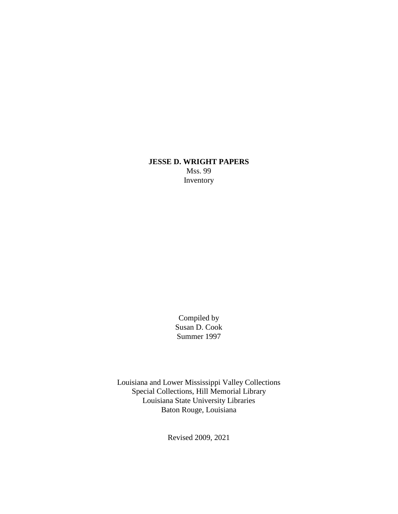## **JESSE D. WRIGHT PAPERS** Mss. 99 Inventory

Compiled by Susan D. Cook Summer 1997

Louisiana and Lower Mississippi Valley Collections Special Collections, Hill Memorial Library Louisiana State University Libraries Baton Rouge, Louisiana

Revised 2009, 2021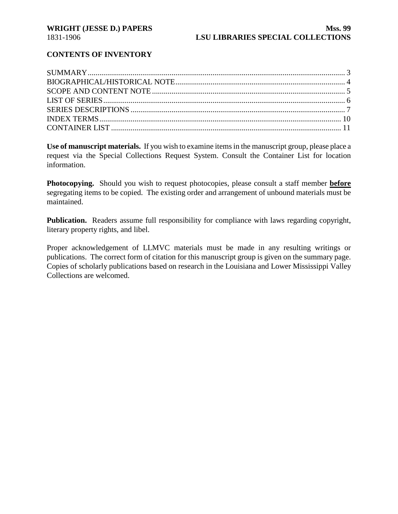## **CONTENTS OF INVENTORY**

**Use of manuscript materials.** If you wish to examine items in the manuscript group, please place a request via the Special Collections Request System. Consult the Container List for location information.

**Photocopying.** Should you wish to request photocopies, please consult a staff member **before** segregating items to be copied. The existing order and arrangement of unbound materials must be maintained.

**Publication.** Readers assume full responsibility for compliance with laws regarding copyright, literary property rights, and libel.

Proper acknowledgement of LLMVC materials must be made in any resulting writings or publications. The correct form of citation for this manuscript group is given on the summary page. Copies of scholarly publications based on research in the Louisiana and Lower Mississippi Valley Collections are welcomed.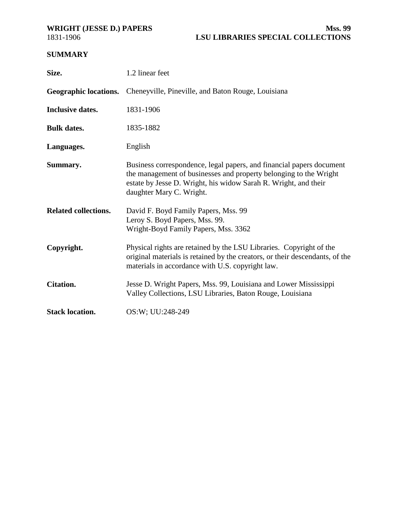<span id="page-2-0"></span>

## **SUMMARY**

| Size.                       | 1.2 linear feet                                                                                                                                                                                                                          |
|-----------------------------|------------------------------------------------------------------------------------------------------------------------------------------------------------------------------------------------------------------------------------------|
|                             | Geographic locations. Cheneyville, Pineville, and Baton Rouge, Louisiana                                                                                                                                                                 |
| <b>Inclusive dates.</b>     | 1831-1906                                                                                                                                                                                                                                |
| <b>Bulk dates.</b>          | 1835-1882                                                                                                                                                                                                                                |
| Languages.                  | English                                                                                                                                                                                                                                  |
| Summary.                    | Business correspondence, legal papers, and financial papers document<br>the management of businesses and property belonging to the Wright<br>estate by Jesse D. Wright, his widow Sarah R. Wright, and their<br>daughter Mary C. Wright. |
| <b>Related collections.</b> | David F. Boyd Family Papers, Mss. 99<br>Leroy S. Boyd Papers, Mss. 99.<br>Wright-Boyd Family Papers, Mss. 3362                                                                                                                           |
| Copyright.                  | Physical rights are retained by the LSU Libraries. Copyright of the<br>original materials is retained by the creators, or their descendants, of the<br>materials in accordance with U.S. copyright law.                                  |
| <b>Citation.</b>            | Jesse D. Wright Papers, Mss. 99, Louisiana and Lower Mississippi<br>Valley Collections, LSU Libraries, Baton Rouge, Louisiana                                                                                                            |
| <b>Stack location.</b>      | OS:W; UU:248-249                                                                                                                                                                                                                         |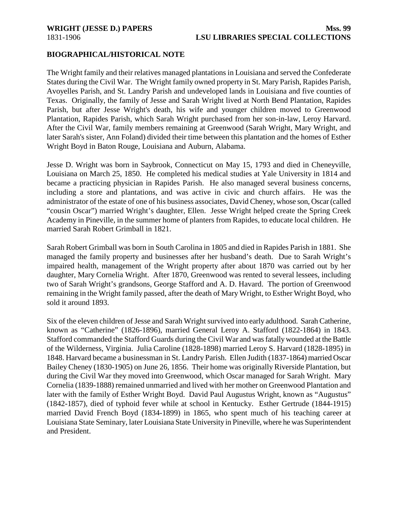## <span id="page-3-0"></span>**BIOGRAPHICAL/HISTORICAL NOTE**

The Wright family and their relatives managed plantations in Louisiana and served the Confederate States during the Civil War. The Wright family owned property in St. Mary Parish, Rapides Parish, Avoyelles Parish, and St. Landry Parish and undeveloped lands in Louisiana and five counties of Texas. Originally, the family of Jesse and Sarah Wright lived at North Bend Plantation, Rapides Parish, but after Jesse Wright's death, his wife and younger children moved to Greenwood Plantation, Rapides Parish, which Sarah Wright purchased from her son-in-law, Leroy Harvard. After the Civil War, family members remaining at Greenwood (Sarah Wright, Mary Wright, and later Sarah's sister, Ann Foland) divided their time between this plantation and the homes of Esther Wright Boyd in Baton Rouge, Louisiana and Auburn, Alabama.

Jesse D. Wright was born in Saybrook, Connecticut on May 15, 1793 and died in Cheneyville, Louisiana on March 25, 1850. He completed his medical studies at Yale University in 1814 and became a practicing physician in Rapides Parish. He also managed several business concerns, including a store and plantations, and was active in civic and church affairs. He was the administrator of the estate of one of his business associates, David Cheney, whose son, Oscar (called "cousin Oscar") married Wright's daughter, Ellen. Jesse Wright helped create the Spring Creek Academy in Pineville, in the summer home of planters from Rapides, to educate local children. He married Sarah Robert Grimball in 1821.

Sarah Robert Grimball was born in South Carolina in 1805 and died in Rapides Parish in 1881. She managed the family property and businesses after her husband's death. Due to Sarah Wright's impaired health, management of the Wright property after about 1870 was carried out by her daughter, Mary Cornelia Wright. After 1870, Greenwood was rented to several lessees, including two of Sarah Wright's grandsons, George Stafford and A. D. Havard. The portion of Greenwood remaining in the Wright family passed, after the death of Mary Wright, to Esther Wright Boyd, who sold it around 1893.

Six of the eleven children of Jesse and Sarah Wright survived into early adulthood. Sarah Catherine, known as "Catherine" (1826-1896), married General Leroy A. Stafford (1822-1864) in 1843. Stafford commanded the Stafford Guards during the Civil War and was fatally wounded at the Battle of the Wilderness, Virginia. Julia Caroline (1828-1898) married Leroy S. Harvard (1828-1895) in 1848. Harvard became a businessman in St. Landry Parish. Ellen Judith (1837-1864) married Oscar Bailey Cheney (1830-1905) on June 26, 1856. Their home was originally Riverside Plantation, but during the Civil War they moved into Greenwood, which Oscar managed for Sarah Wright. Mary Cornelia (1839-1888) remained unmarried and lived with her mother on Greenwood Plantation and later with the family of Esther Wright Boyd. David Paul Augustus Wright, known as "Augustus" (1842-1857), died of typhoid fever while at school in Kentucky. Esther Gertrude (1844-1915) married David French Boyd (1834-1899) in 1865, who spent much of his teaching career at Louisiana State Seminary, later Louisiana State University in Pineville, where he was Superintendent and President.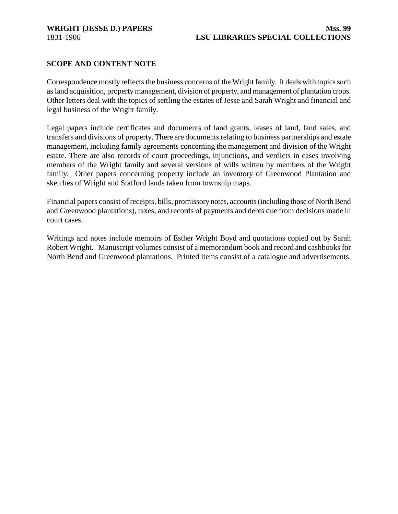## <span id="page-4-0"></span>**SCOPE AND CONTENT NOTE**

Correspondence mostly reflects the business concerns of the Wright family. It deals with topics such as land acquisition, property management, division of property, and management of plantation crops. Other letters deal with the topics of settling the estates of Jesse and Sarah Wright and financial and legal business of the Wright family.

Legal papers include certificates and documents of land grants, leases of land, land sales, and transfers and divisions of property. There are documents relating to business partnerships and estate management, including family agreements concerning the management and division of the Wright estate. There are also records of court proceedings, injunctions, and verdicts in cases involving members of the Wright family and several versions of wills written by members of the Wright family. Other papers concerning property include an inventory of Greenwood Plantation and sketches of Wright and Stafford lands taken from township maps.

Financial papers consist of receipts, bills, promissory notes, accounts (including those of North Bend and Greenwood plantations), taxes, and records of payments and debts due from decisions made in court cases.

Writings and notes include memoirs of Esther Wright Boyd and quotations copied out by Sarah Robert Wright. Manuscript volumes consist of a memorandum book and record and cashbooks for North Bend and Greenwood plantations. Printed items consist of a catalogue and advertisements.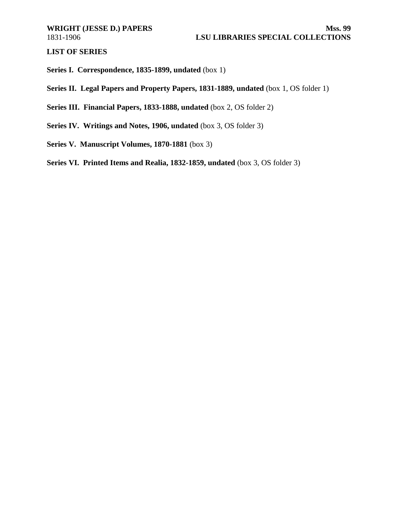<span id="page-5-0"></span>**LIST OF SERIES**

**Series I. Correspondence, 1835-1899, undated** (box 1)

**Series II. Legal Papers and Property Papers, 1831-1889, undated** (box 1, OS folder 1)

**Series III. Financial Papers, 1833-1888, undated** (box 2, OS folder 2)

- **Series IV. Writings and Notes, 1906, undated** (box 3, OS folder 3)
- **Series V. Manuscript Volumes, 1870-1881** (box 3)

**Series VI. Printed Items and Realia, 1832-1859, undated** (box 3, OS folder 3)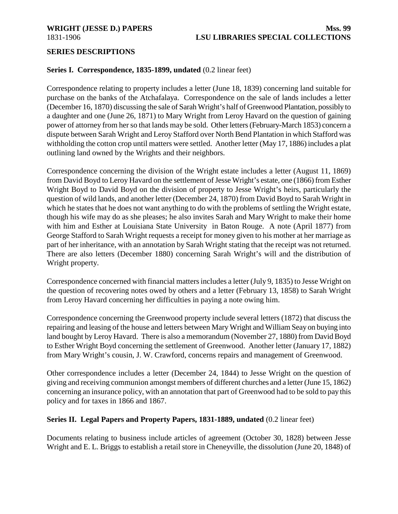### <span id="page-6-0"></span>**SERIES DESCRIPTIONS**

## **Series I. Correspondence, 1835-1899, undated** (0.2 linear feet)

Correspondence relating to property includes a letter (June 18, 1839) concerning land suitable for purchase on the banks of the Atchafalaya. Correspondence on the sale of lands includes a letter (December 16, 1870) discussing the sale of Sarah Wright's half of Greenwood Plantation, possibly to a daughter and one (June 26, 1871) to Mary Wright from Leroy Havard on the question of gaining power of attorney from her so that lands may be sold. Other letters (February-March 1853) concern a dispute between Sarah Wright and Leroy Stafford over North Bend Plantation in which Stafford was withholding the cotton crop until matters were settled. Another letter (May 17, 1886) includes a plat outlining land owned by the Wrights and their neighbors.

Correspondence concerning the division of the Wright estate includes a letter (August 11, 1869) from David Boyd to Leroy Havard on the settlement of Jesse Wright's estate, one (1866) from Esther Wright Boyd to David Boyd on the division of property to Jesse Wright's heirs, particularly the question of wild lands, and another letter (December 24, 1870) from David Boyd to Sarah Wright in which he states that he does not want anything to do with the problems of settling the Wright estate, though his wife may do as she pleases; he also invites Sarah and Mary Wright to make their home with him and Esther at Louisiana State University in Baton Rouge. A note (April 1877) from George Stafford to Sarah Wright requests a receipt for money given to his mother at her marriage as part of her inheritance, with an annotation by Sarah Wright stating that the receipt was not returned. There are also letters (December 1880) concerning Sarah Wright's will and the distribution of Wright property.

Correspondence concerned with financial matters includes a letter (July 9, 1835) to Jesse Wright on the question of recovering notes owed by others and a letter (February 13, 1858) to Sarah Wright from Leroy Havard concerning her difficulties in paying a note owing him.

Correspondence concerning the Greenwood property include several letters (1872) that discuss the repairing and leasing of the house and letters between Mary Wright and William Seay on buying into land bought by Leroy Havard. There is also a memorandum (November 27, 1880) from David Boyd to Esther Wright Boyd concerning the settlement of Greenwood. Another letter (January 17, 1882) from Mary Wright's cousin, J. W. Crawford, concerns repairs and management of Greenwood.

Other correspondence includes a letter (December 24, 1844) to Jesse Wright on the question of giving and receiving communion amongst members of different churches and a letter (June 15, 1862) concerning an insurance policy, with an annotation that part of Greenwood had to be sold to pay this policy and for taxes in 1866 and 1867.

## **Series II. Legal Papers and Property Papers, 1831-1889, undated** (0.2 linear feet)

Documents relating to business include articles of agreement (October 30, 1828) between Jesse Wright and E. L. Briggs to establish a retail store in Cheneyville, the dissolution (June 20, 1848) of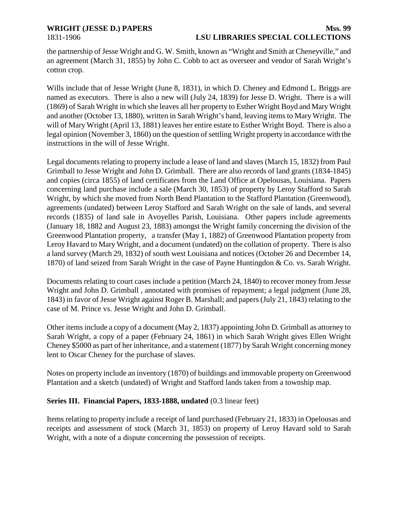## **WRIGHT (JESSE D.) PAPERS Mss. 99**

# 1831-1906 **LSU LIBRARIES SPECIAL COLLECTIONS**

the partnership of Jesse Wright and G. W. Smith, known as "Wright and Smith at Cheneyville," and an agreement (March 31, 1855) by John C. Cobb to act as overseer and vendor of Sarah Wright's cotton crop.

Wills include that of Jesse Wright (June 8, 1831), in which D. Cheney and Edmond L. Briggs are named as executors. There is also a new will (July 24, 1839) for Jesse D. Wright. There is a will (1869) of Sarah Wright in which she leaves all her property to Esther Wright Boyd and Mary Wright and another (October 13, 1880), written in Sarah Wright's hand, leaving items to Mary Wright. The will of Mary Wright (April 13, 1881) leaves her entire estate to Esther Wright Boyd. There is also a legal opinion (November 3, 1860) on the question of settling Wright property in accordance with the instructions in the will of Jesse Wright.

Legal documents relating to property include a lease of land and slaves (March 15, 1832) from Paul Grimball to Jesse Wright and John D. Grimball. There are also records of land grants (1834-1845) and copies (circa 1855) of land certificates from the Land Office at Opelousas, Louisiana. Papers concerning land purchase include a sale (March 30, 1853) of property by Leroy Stafford to Sarah Wright, by which she moved from North Bend Plantation to the Stafford Plantation (Greenwood), agreements (undated) between Leroy Stafford and Sarah Wright on the sale of lands, and several records (1835) of land sale in Avoyelles Parish, Louisiana. Other papers include agreements (January 18, 1882 and August 23, 1883) amongst the Wright family concerning the division of the Greenwood Plantation property, a transfer (May 1, 1882) of Greenwood Plantation property from Leroy Havard to Mary Wright, and a document (undated) on the collation of property. There is also a land survey (March 29, 1832) of south west Louisiana and notices (October 26 and December 14, 1870) of land seized from Sarah Wright in the case of Payne Huntingdon & Co. vs. Sarah Wright.

Documents relating to court cases include a petition (March 24, 1840) to recover money from Jesse Wright and John D. Grimball , annotated with promises of repayment; a legal judgment (June 28, 1843) in favor of Jesse Wright against Roger B. Marshall; and papers (July 21, 1843) relating to the case of M. Prince vs. Jesse Wright and John D. Grimball.

Other items include a copy of a document (May 2, 1837) appointing John D. Grimball as attorney to Sarah Wright, a copy of a paper (February 24, 1861) in which Sarah Wright gives Ellen Wright Cheney \$5000 as part of her inheritance, and a statement (1877) by Sarah Wright concerning money lent to Oscar Cheney for the purchase of slaves.

Notes on property include an inventory (1870) of buildings and immovable property on Greenwood Plantation and a sketch (undated) of Wright and Stafford lands taken from a township map.

## **Series III. Financial Papers, 1833-1888, undated** (0.3 linear feet)

Items relating to property include a receipt of land purchased (February 21, 1833) in Opelousas and receipts and assessment of stock (March 31, 1853) on property of Leroy Havard sold to Sarah Wright, with a note of a dispute concerning the possession of receipts.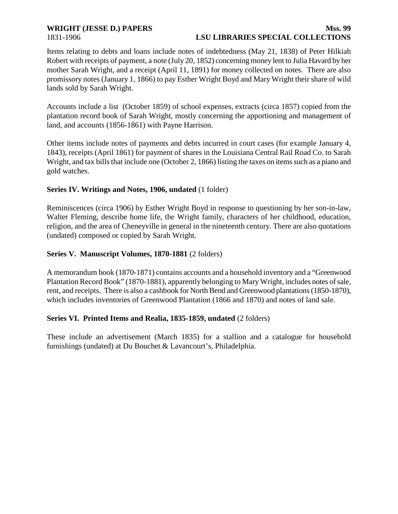## **WRIGHT (JESSE D.) PAPERS Mss. 99** 1831-1906 **LSU LIBRARIES SPECIAL COLLECTIONS**

Items relating to debts and loans include notes of indebtedness (May 21, 1838) of Peter Hilkiah Robert with receipts of payment, a note (July 20, 1852) concerning money lent to Julia Havard by her mother Sarah Wright, and a receipt (April 11, 1891) for money collected on notes. There are also promissory notes (January 1, 1866) to pay Esther Wright Boyd and Mary Wright their share of wild lands sold by Sarah Wright.

Accounts include a list (October 1859) of school expenses, extracts (circa 1857) copied from the plantation record book of Sarah Wright, mostly concerning the apportioning and management of land, and accounts (1856-1861) with Payne Harrison.

Other items include notes of payments and debts incurred in court cases (for example January 4, 1843), receipts (April 1861) for payment of shares in the Louisiana Central Rail Road Co. to Sarah Wright, and tax bills that include one (October 2, 1866) listing the taxes on items such as a piano and gold watches.

## **Series IV. Writings and Notes, 1906, undated** (1 folder)

Reminiscences (circa 1906) by Esther Wright Boyd in response to questioning by her son-in-law, Walter Fleming, describe home life, the Wright family, characters of her childhood, education, religion, and the area of Cheneyville in general in the nineteenth century. There are also quotations (undated) composed or copied by Sarah Wright.

## **Series V. Manuscript Volumes, 1870-1881** (2 folders)

A memorandum book (1870-1871) contains accounts and a household inventory and a "Greenwood Plantation Record Book" (1870-1881), apparently belonging to Mary Wright, includes notes of sale, rent, and receipts. There is also a cashbook for North Bend and Greenwood plantations (1850-1870), which includes inventories of Greenwood Plantation (1866 and 1870) and notes of land sale.

## **Series VI. Printed Items and Realia, 1835-1859, undated** (2 folders)

These include an advertisement (March 1835) for a stallion and a catalogue for household furnishings (undated) at Du Bouchet & Lavancourt's, Philadelphia.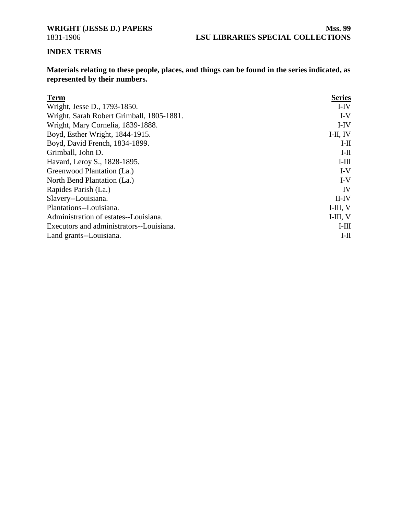<span id="page-9-0"></span>

## **INDEX TERMS**

**Materials relating to these people, places, and things can be found in the series indicated, as represented by their numbers.**

| <b>Term</b>                               | <b>Series</b> |
|-------------------------------------------|---------------|
| Wright, Jesse D., 1793-1850.              | $I-IV$        |
| Wright, Sarah Robert Grimball, 1805-1881. | $I-V$         |
| Wright, Mary Cornelia, 1839-1888.         | I-IV          |
| Boyd, Esther Wright, 1844-1915.           | I-II, IV      |
| Boyd, David French, 1834-1899.            | $I-II$        |
| Grimball, John D.                         | $I-II$        |
| Havard, Leroy S., 1828-1895.              | $I-III$       |
| Greenwood Plantation (La.)                | $I-V$         |
| North Bend Plantation (La.)               | $I-V$         |
| Rapides Parish (La.)                      | <b>IV</b>     |
| Slavery--Louisiana.                       | $II$ -IV      |
| Plantations--Louisiana.                   | $I$ -III, V   |
| Administration of estates--Louisiana.     | $I$ -III, V   |
| Executors and administrators--Louisiana.  | $I-III$       |
| Land grants--Louisiana.                   | $I-H$         |